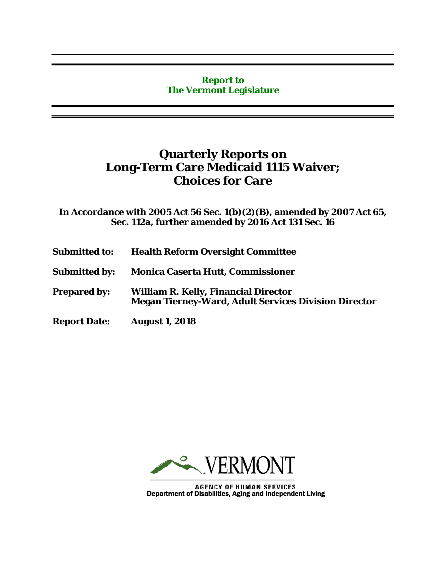## **Report to The Vermont Legislature**

## **Quarterly Reports on Long-Term Care Medicaid 1115 Waiver; Choices for Care**

**In Accordance with 2005 Act 56 Sec. 1(b)(2)(B), amended by 2007 Act 65, Sec. 112a, further amended by 2016 Act 131 Sec. 16**

- **Submitted to: Health Reform Oversight Committee**
- **Submitted by: Monica Caserta Hutt, Commissioner**
- **Prepared by: William R. Kelly, Financial Director Megan Tierney-Ward, Adult Services Division Director**
- **Report Date: August 1, 2018**



AGENCY OF HUMAN SERVICES<br>Department of Disabilities, Aging and Independent Living